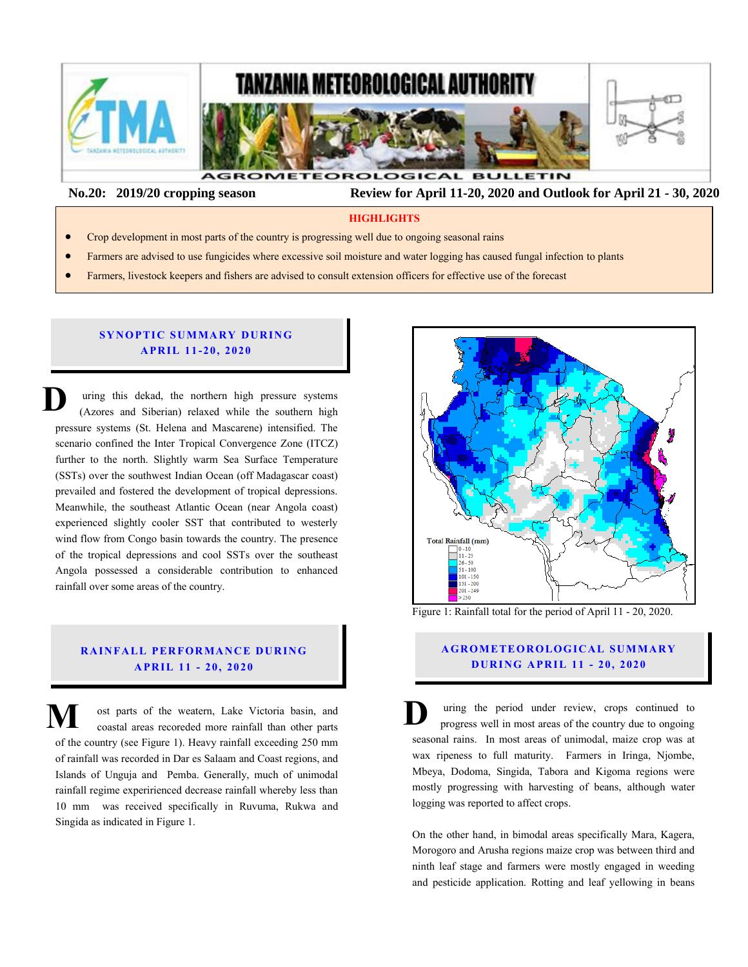

 **No.20: 2019/20 cropping season Review for April 11-20, 2020 and Outlook for April 21 - 30, 2020** 

#### **HIGHLIGHTS**

- Crop development in most parts of the country is progressing well due to ongoing seasonal rains
- Farmers are advised to use fungicides where excessive soil moisture and water logging has caused fungal infection to plants
- Farmers, livestock keepers and fishers are advised to consult extension officers for effective use of the forecast

#### **SYNOPTIC SUMMARY DURING A PR IL 11 - 20, 20 20**

uring this dekad, the northern high pressure systems (Azores and Siberian) relaxed while the southern high pressure systems (St. Helena and Mascarene) intensified. The scenario confined the Inter Tropical Convergence Zone (ITCZ) further to the north. Slightly warm Sea Surface Temperature (SSTs) over the southwest Indian Ocean (off Madagascar coast) prevailed and fostered the development of tropical depressions. Meanwhile, the southeast Atlantic Ocean (near Angola coast) experienced slightly cooler SST that contributed to westerly wind flow from Congo basin towards the country. The presence of the tropical depressions and cool SSTs over the southeast Angola possessed a considerable contribution to enhanced rainfall over some areas of the country. **D** pr<br>sc<br>fu S<br>pr<br>M

#### **RAINFALL PERFORMANCE DURING A PR IL 11 - 20, 20 20**

ost parts of the weatern, Lake Victoria basin, and coastal areas recoreded more rainfall than other parts of the country (see Figure 1). Heavy rainfall exceeding 250 mm of rainfall was recorded in Dar es Salaam and Coast regions, and Islands of Unguja and Pemba. Generally, much of unimodal rainfall regime experirienced decrease rainfall whereby less than 10 mm was received specifically in Ruvuma, Rukwa and Singida as indicated in Figure 1. **M** ost parts of the weatern, Lake Victoria basin, and coastal areas recoreded more rainfall than other parts



Figure 1: Rainfall total for the period of April 11 - 20, 2020.

## **AGROMETEOROLOGICAL SUMMARY D UR ING A PR IL 11 - 20, 2020**

uring the period under review, crops continued to progress well in most areas of the country due to ongoing seasonal rains. In most areas of unimodal, maize crop was at wax ripeness to full maturity. Farmers in Iringa, Njombe, Mbeya, Dodoma, Singida, Tabora and Kigoma regions were mostly progressing with harvesting of beans, although water logging was reported to affect crops.

On the other hand, in bimodal areas specifically Mara, Kagera, Morogoro and Arusha regions maize crop was between third and ninth leaf stage and farmers were mostly engaged in weeding and pesticide application. Rotting and leaf yellowing in beans